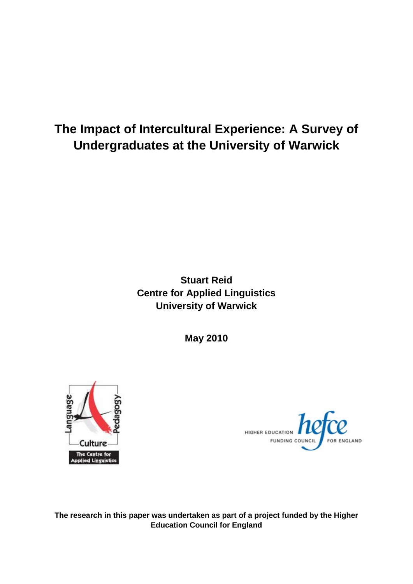# **The Impact of Intercultural Experience: A Survey of Undergraduates at the University of Warwick**

## **Stuart Reid Centre for Applied Linguistics University of Warwick**

**May 2010**





**The research in this paper was undertaken as part of a project funded by the Higher Education Council for England**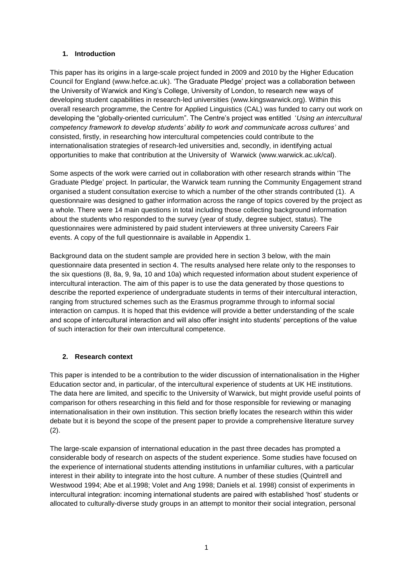## **1. Introduction**

This paper has its origins in a large-scale project funded in 2009 and 2010 by the Higher Education Council for England (www.hefce.ac.uk). "The Graduate Pledge" project was a collaboration between the University of Warwick and King"s College, University of London, to research new ways of developing student capabilities in research-led universities (www.kingswarwick.org). Within this overall research programme, the Centre for Applied Linguistics (CAL) was funded to carry out work on developing the "globally-oriented curriculum". The Centre"s project was entitled "*Using an intercultural competency framework to develop students' ability to work and communicate across cultures'* and consisted, firstly, in researching how intercultural competencies could contribute to the internationalisation strategies of research-led universities and, secondly, in identifying actual opportunities to make that contribution at the University of Warwick (www.warwick.ac.uk/cal).

Some aspects of the work were carried out in collaboration with other research strands within "The Graduate Pledge" project. In particular, the Warwick team running the Community Engagement strand organised a student consultation exercise to which a number of the other strands contributed (1). A questionnaire was designed to gather information across the range of topics covered by the project as a whole. There were 14 main questions in total including those collecting background information about the students who responded to the survey (year of study, degree subject, status). The questionnaires were administered by paid student interviewers at three university Careers Fair events. A copy of the full questionnaire is available in Appendix 1.

Background data on the student sample are provided here in section 3 below, with the main questionnaire data presented in section 4. The results analysed here relate only to the responses to the six questions (8, 8a, 9, 9a, 10 and 10a) which requested information about student experience of intercultural interaction. The aim of this paper is to use the data generated by those questions to describe the reported experience of undergraduate students in terms of their intercultural interaction, ranging from structured schemes such as the Erasmus programme through to informal social interaction on campus. It is hoped that this evidence will provide a better understanding of the scale and scope of intercultural interaction and will also offer insight into students" perceptions of the value of such interaction for their own intercultural competence.

## **2. Research context**

This paper is intended to be a contribution to the wider discussion of internationalisation in the Higher Education sector and, in particular, of the intercultural experience of students at UK HE institutions. The data here are limited, and specific to the University of Warwick, but might provide useful points of comparison for others researching in this field and for those responsible for reviewing or managing internationalisation in their own institution. This section briefly locates the research within this wider debate but it is beyond the scope of the present paper to provide a comprehensive literature survey (2).

The large-scale expansion of international education in the past three decades has prompted a considerable body of research on aspects of the student experience. Some studies have focused on the experience of international students attending institutions in unfamiliar cultures, with a particular interest in their ability to integrate into the host culture. A number of these studies (Quintrell and Westwood 1994; Abe et al.1998; Volet and Ang 1998; Daniels et al. 1998) consist of experiments in intercultural integration: incoming international students are paired with established "host" students or allocated to culturally-diverse study groups in an attempt to monitor their social integration, personal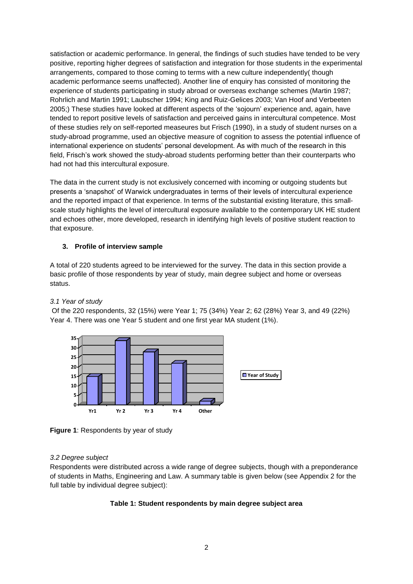satisfaction or academic performance. In general, the findings of such studies have tended to be very positive, reporting higher degrees of satisfaction and integration for those students in the experimental arrangements, compared to those coming to terms with a new culture independently( though academic performance seems unaffected). Another line of enquiry has consisted of monitoring the experience of students participating in study abroad or overseas exchange schemes (Martin 1987; Rohrlich and Martin 1991; Laubscher 1994; King and Ruiz-Gelices 2003; Van Hoof and Verbeeten 2005;) These studies have looked at different aspects of the "sojourn" experience and, again, have tended to report positive levels of satisfaction and perceived gains in intercultural competence. Most of these studies rely on self-reported measeures but Frisch (1990), in a study of student nurses on a study-abroad programme, used an objective measure of cognition to assess the potential influence of international experience on students" personal development. As with much of the research in this field, Frisch's work showed the study-abroad students performing better than their counterparts who had not had this intercultural exposure.

The data in the current study is not exclusively concerned with incoming or outgoing students but presents a "snapshot" of Warwick undergraduates in terms of their levels of intercultural experience and the reported impact of that experience. In terms of the substantial existing literature, this smallscale study highlights the level of intercultural exposure available to the contemporary UK HE student and echoes other, more developed, research in identifying high levels of positive student reaction to that exposure.

## **3. Profile of interview sample**

A total of 220 students agreed to be interviewed for the survey. The data in this section provide a basic profile of those respondents by year of study, main degree subject and home or overseas status.

## *3.1 Year of study*

Of the 220 respondents, 32 (15%) were Year 1; 75 (34%) Year 2; 62 (28%) Year 3, and 49 (22%) Year 4. There was one Year 5 student and one first year MA student (1%).





## *3.2 Degree subject*

Respondents were distributed across a wide range of degree subjects, though with a preponderance of students in Maths, Engineering and Law. A summary table is given below (see Appendix 2 for the full table by individual degree subject):

## **Table 1: Student respondents by main degree subject area**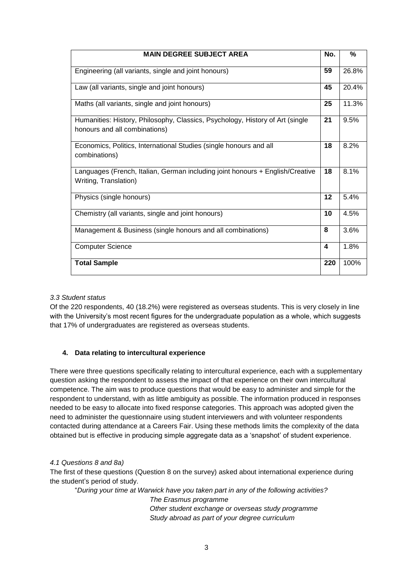| <b>MAIN DEGREE SUBJECT AREA</b>                                                                                | No.              | $\frac{0}{2}$ |
|----------------------------------------------------------------------------------------------------------------|------------------|---------------|
| Engineering (all variants, single and joint honours)                                                           | 59               | 26.8%         |
| Law (all variants, single and joint honours)                                                                   | 45               | 20.4%         |
| Maths (all variants, single and joint honours)                                                                 | 25               | 11.3%         |
| Humanities: History, Philosophy, Classics, Psychology, History of Art (single<br>honours and all combinations) | 21               | 9.5%          |
| Economics, Politics, International Studies (single honours and all<br>combinations)                            | 18               | 8.2%          |
| Languages (French, Italian, German including joint honours + English/Creative<br>Writing, Translation)         | 18               | 8.1%          |
| Physics (single honours)                                                                                       | 12               | 5.4%          |
| Chemistry (all variants, single and joint honours)                                                             | 10               | 4.5%          |
| Management & Business (single honours and all combinations)                                                    | 8                | 3.6%          |
| <b>Computer Science</b>                                                                                        | $\boldsymbol{4}$ | 1.8%          |
| <b>Total Sample</b>                                                                                            | 220              | 100%          |

## *3.3 Student status*

Of the 220 respondents, 40 (18.2%) were registered as overseas students. This is very closely in line with the University's most recent figures for the undergraduate population as a whole, which suggests that 17% of undergraduates are registered as overseas students.

## **4. Data relating to intercultural experience**

There were three questions specifically relating to intercultural experience, each with a supplementary question asking the respondent to assess the impact of that experience on their own intercultural competence. The aim was to produce questions that would be easy to administer and simple for the respondent to understand, with as little ambiguity as possible. The information produced in responses needed to be easy to allocate into fixed response categories. This approach was adopted given the need to administer the questionnaire using student interviewers and with volunteer respondents contacted during attendance at a Careers Fair. Using these methods limits the complexity of the data obtained but is effective in producing simple aggregate data as a "snapshot" of student experience.

## *4.1 Questions 8 and 8a)*

The first of these questions (Question 8 on the survey) asked about international experience during the student"s period of study.

"*During your time at Warwick have you taken part in any of the following activities? The Erasmus programme Other student exchange or overseas study programme Study abroad as part of your degree curriculum*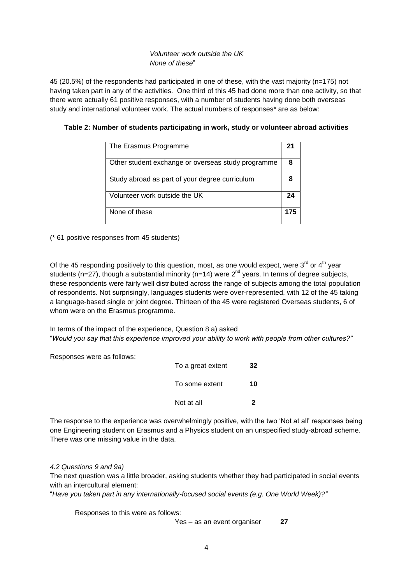## *Volunteer work outside the UK None of these*"

45 (20.5%) of the respondents had participated in one of these, with the vast majority (n=175) not having taken part in any of the activities. One third of this 45 had done more than one activity, so that there were actually 61 positive responses, with a number of students having done both overseas study and international volunteer work. The actual numbers of responses\* are as below:

| The Erasmus Programme                              |     |
|----------------------------------------------------|-----|
| Other student exchange or overseas study programme | 8   |
| Study abroad as part of your degree curriculum     |     |
| Volunteer work outside the UK                      | 24  |
| None of these                                      | 175 |

## **Table 2: Number of students participating in work, study or volunteer abroad activities**

(\* 61 positive responses from 45 students)

Of the 45 responding positively to this question, most, as one would expect, were 3 $^{\text{rd}}$  or 4<sup>th</sup> year students (n=27), though a substantial minority (n=14) were  $2^{nd}$  years. In terms of degree subjects, these respondents were fairly well distributed across the range of subjects among the total population of respondents. Not surprisingly, languages students were over-represented, with 12 of the 45 taking a language-based single or joint degree. Thirteen of the 45 were registered Overseas students, 6 of whom were on the Erasmus programme.

In terms of the impact of the experience, Question 8 a) asked "*Would you say that this experience improved your ability to work with people from other cultures?"*

Responses were as follows:

| To a great extent | 32 |
|-------------------|----|
| To some extent    | 10 |
| Not at all        | 2  |

The response to the experience was overwhelmingly positive, with the two "Not at all" responses being one Engineering student on Erasmus and a Physics student on an unspecified study-abroad scheme. There was one missing value in the data.

#### *4.2 Questions 9 and 9a)*

The next question was a little broader, asking students whether they had participated in social events with an intercultural element:

"*Have you taken part in any internationally-focused social events (e.g. One World Week)?"*

Responses to this were as follows:

Yes – as an event organiser **27**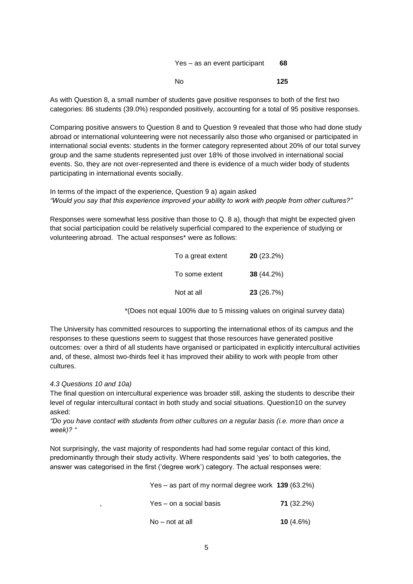| Yes – as an event participant | 68  |
|-------------------------------|-----|
| No.                           | 125 |

As with Question 8, a small number of students gave positive responses to both of the first two categories: 86 students (39.0%) responded positively, accounting for a total of 95 positive responses.

Comparing positive answers to Question 8 and to Question 9 revealed that those who had done study abroad or international volunteering were not necessarily also those who organised or participated in international social events: students in the former category represented about 20% of our total survey group and the same students represented just over 18% of those involved in international social events. So, they are not over-represented and there is evidence of a much wider body of students participating in international events socially.

In terms of the impact of the experience, Question 9 a) again asked *"Would you say that this experience improved your ability to work with people from other cultures?"*

Responses were somewhat less positive than those to Q. 8 a), though that might be expected given that social participation could be relatively superficial compared to the experience of studying or volunteering abroad. The actual responses\* were as follows:

| To a great extent | 20(23.2%)    |
|-------------------|--------------|
| To some extent    | $38(44.2\%)$ |
| Not at all        | 23 (26.7%)   |

\*(Does not equal 100% due to 5 missing values on original survey data)

The University has committed resources to supporting the international ethos of its campus and the responses to these questions seem to suggest that those resources have generated positive outcomes: over a third of all students have organised or participated in explicitly intercultural activities and, of these, almost two-thirds feel it has improved their ability to work with people from other cultures.

#### *4.3 Questions 10 and 10a)*

The final question on intercultural experience was broader still, asking the students to describe their level of regular intercultural contact in both study and social situations. Question10 on the survey asked:

*"Do you have contact with students from other cultures on a regular basis (i.e. more than once a week)? "*

Not surprisingly, the vast majority of respondents had had some regular contact of this kind, predominantly through their study activity. Where respondents said "yes" to both categories, the answer was categorised in the first ("degree work") category. The actual responses were:

| Yes – as part of my normal degree work $139$ (63.2%) |              |
|------------------------------------------------------|--------------|
| Yes – on a social basis                              | 71 (32.2%)   |
| No – not at all                                      | 10 $(4.6\%)$ |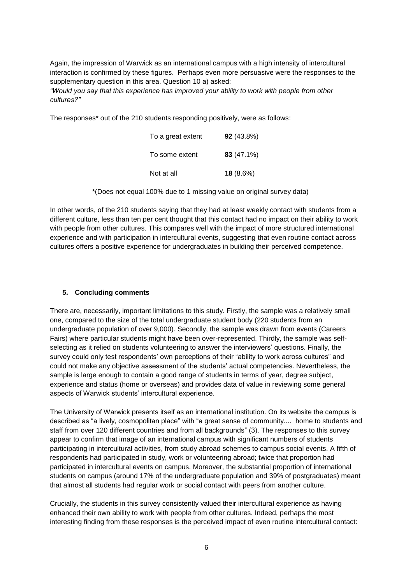Again, the impression of Warwick as an international campus with a high intensity of intercultural interaction is confirmed by these figures. Perhaps even more persuasive were the responses to the supplementary question in this area. Question 10 a) asked:

*"Would you say that this experience has improved your ability to work with people from other cultures?"*

The responses\* out of the 210 students responding positively, were as follows:

| To a great extent | 92 (43.8%) |
|-------------------|------------|
| To some extent    | 83 (47.1%) |
| Not at all        | 18 (8.6%)  |

\*(Does not equal 100% due to 1 missing value on original survey data)

In other words, of the 210 students saying that they had at least weekly contact with students from a different culture, less than ten per cent thought that this contact had no impact on their ability to work with people from other cultures. This compares well with the impact of more structured international experience and with participation in intercultural events, suggesting that even routine contact across cultures offers a positive experience for undergraduates in building their perceived competence.

## **5. Concluding comments**

There are, necessarily, important limitations to this study. Firstly, the sample was a relatively small one, compared to the size of the total undergraduate student body (220 students from an undergraduate population of over 9,000). Secondly, the sample was drawn from events (Careers Fairs) where particular students might have been over-represented. Thirdly, the sample was selfselecting as it relied on students volunteering to answer the interviewers' questions. Finally, the survey could only test respondents' own perceptions of their "ability to work across cultures" and could not make any objective assessment of the students" actual competencies. Nevertheless, the sample is large enough to contain a good range of students in terms of year, degree subject, experience and status (home or overseas) and provides data of value in reviewing some general aspects of Warwick students' intercultural experience.

The University of Warwick presents itself as an international institution. On its website the campus is described as "a lively, cosmopolitan place" with "a great sense of community.... home to students and staff from over 120 different countries and from all backgrounds" (3). The responses to this survey appear to confirm that image of an international campus with significant numbers of students participating in intercultural activities, from study abroad schemes to campus social events. A fifth of respondents had participated in study, work or volunteering abroad; twice that proportion had participated in intercultural events on campus. Moreover, the substantial proportion of international students on campus (around 17% of the undergraduate population and 39% of postgraduates) meant that almost all students had regular work or social contact with peers from another culture.

Crucially, the students in this survey consistently valued their intercultural experience as having enhanced their own ability to work with people from other cultures. Indeed, perhaps the most interesting finding from these responses is the perceived impact of even routine intercultural contact: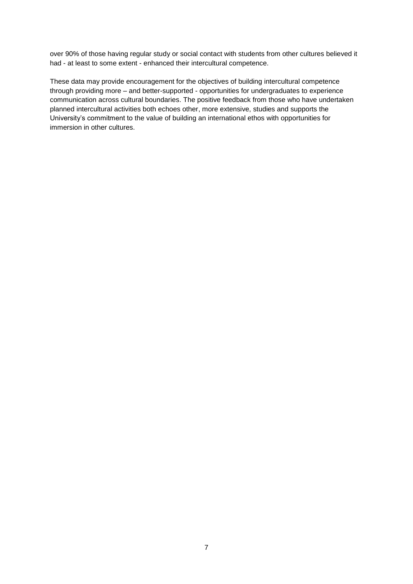over 90% of those having regular study or social contact with students from other cultures believed it had - at least to some extent - enhanced their intercultural competence.

These data may provide encouragement for the objectives of building intercultural competence through providing more – and better-supported - opportunities for undergraduates to experience communication across cultural boundaries. The positive feedback from those who have undertaken planned intercultural activities both echoes other, more extensive, studies and supports the University"s commitment to the value of building an international ethos with opportunities for immersion in other cultures.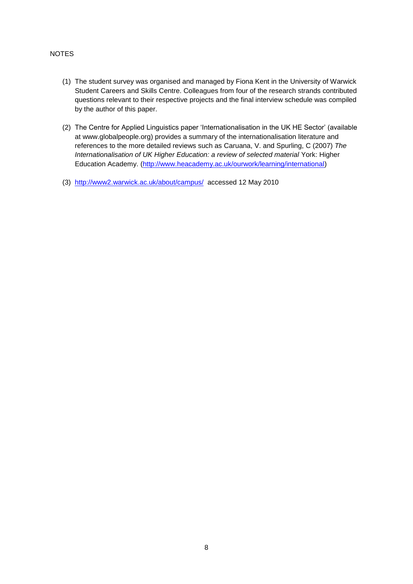## NOTES

- (1) The student survey was organised and managed by Fiona Kent in the University of Warwick Student Careers and Skills Centre. Colleagues from four of the research strands contributed questions relevant to their respective projects and the final interview schedule was compiled by the author of this paper.
- (2) The Centre for Applied Linguistics paper "Internationalisation in the UK HE Sector" (available at www.globalpeople.org) provides a summary of the internationalisation literature and references to the more detailed reviews such as Caruana, V. and Spurling, C (2007) *The Internationalisation of UK Higher Education: a review of selected material York: Higher* Education Academy. [\(http://www.heacademy.ac.uk/ourwork/learning/international\)](http://www.heacademy.ac.uk/ourwork/learning/international)
- (3) <http://www2.warwick.ac.uk/about/campus/>accessed 12 May 2010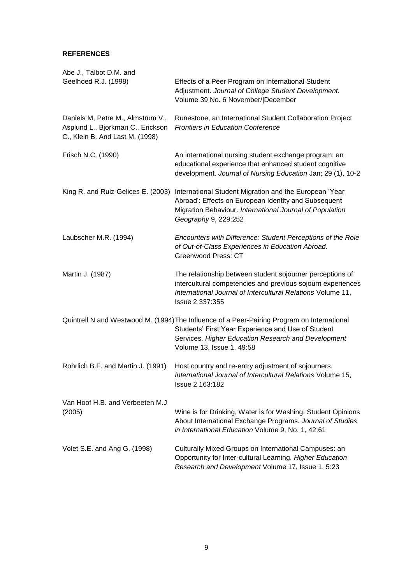## **REFERENCES**

| Abe J., Talbot D.M. and<br>Geelhoed R.J. (1998)                                                           | Effects of a Peer Program on International Student<br>Adjustment. Journal of College Student Development.<br>Volume 39 No. 6 November/ December                                                                                       |
|-----------------------------------------------------------------------------------------------------------|---------------------------------------------------------------------------------------------------------------------------------------------------------------------------------------------------------------------------------------|
| Daniels M, Petre M., Almstrum V.,<br>Asplund L., Bjorkman C., Erickson<br>C., Klein B. And Last M. (1998) | Runestone, an International Student Collaboration Project<br><b>Frontiers in Education Conference</b>                                                                                                                                 |
| Frisch N.C. (1990)                                                                                        | An international nursing student exchange program: an<br>educational experience that enhanced student cognitive<br>development. Journal of Nursing Education Jan; 29 (1), 10-2                                                        |
| King R. and Ruiz-Gelices E. (2003)                                                                        | International Student Migration and the European 'Year<br>Abroad': Effects on European Identity and Subsequent<br>Migration Behaviour. International Journal of Population<br>Geography 9, 229:252                                    |
| Laubscher M.R. (1994)                                                                                     | Encounters with Difference: Student Perceptions of the Role<br>of Out-of-Class Experiences in Education Abroad.<br><b>Greenwood Press: CT</b>                                                                                         |
| Martin J. (1987)                                                                                          | The relationship between student sojourner perceptions of<br>intercultural competencies and previous sojourn experiences<br>International Journal of Intercultural Relations Volume 11,<br>Issue 2 337:355                            |
|                                                                                                           | Quintrell N and Westwood M. (1994) The Influence of a Peer-Pairing Program on International<br>Students' First Year Experience and Use of Student<br>Services. Higher Education Research and Development<br>Volume 13, Issue 1, 49:58 |
| Rohrlich B.F. and Martin J. (1991)                                                                        | Host country and re-entry adjustment of sojourners.<br>International Journal of Intercultural Relations Volume 15,<br><b>Issue 2 163:182</b>                                                                                          |
| Van Hoof H.B. and Verbeeten M.J<br>(2005)                                                                 | Wine is for Drinking, Water is for Washing: Student Opinions<br>About International Exchange Programs. Journal of Studies<br>in International Education Volume 9, No. 1, 42:61                                                        |
| Volet S.E. and Ang G. (1998)                                                                              | Culturally Mixed Groups on International Campuses: an<br>Opportunity for Inter-cultural Learning. Higher Education<br>Research and Development Volume 17, Issue 1, 5:23                                                               |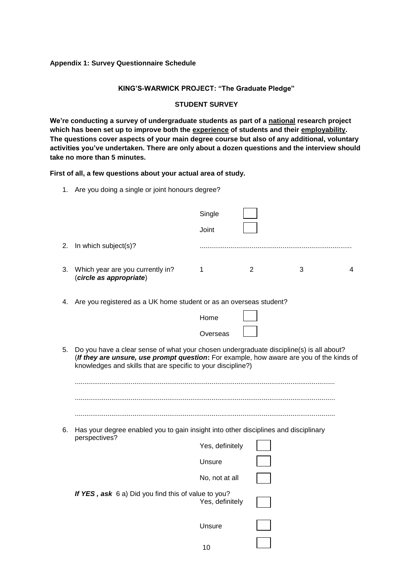#### **Appendix 1: Survey Questionnaire Schedule**

## **KING'S-WARWICK PROJECT: "The Graduate Pledge"**

## **STUDENT SURVEY**

**We're conducting a survey of undergraduate students as part of a national research project which has been set up to improve both the experience of students and their employability. The questions cover aspects of your main degree course but also of any additional, voluntary activities you've undertaken. There are only about a dozen questions and the interview should take no more than 5 minutes.**

**First of all, a few questions about your actual area of study.**

1. Are you doing a single or joint honours degree?

|    |                                                                                                                                                                                                                                                     | Single          |        |   |
|----|-----------------------------------------------------------------------------------------------------------------------------------------------------------------------------------------------------------------------------------------------------|-----------------|--------|---|
|    |                                                                                                                                                                                                                                                     | Joint           |        |   |
| 2. | In which subject(s)?                                                                                                                                                                                                                                |                 |        |   |
| 3. | Which year are you currently in?<br>(circle as appropriate)                                                                                                                                                                                         | 1               | 2<br>3 | 4 |
| 4. | Are you registered as a UK home student or as an overseas student?                                                                                                                                                                                  |                 |        |   |
|    |                                                                                                                                                                                                                                                     | Home            |        |   |
|    |                                                                                                                                                                                                                                                     | Overseas        |        |   |
| 5. | Do you have a clear sense of what your chosen undergraduate discipline(s) is all about?<br>(If they are unsure, use prompt question: For example, how aware are you of the kinds of<br>knowledges and skills that are specific to your discipline?) |                 |        |   |
| 6. | Has your degree enabled you to gain insight into other disciplines and disciplinary<br>perspectives?                                                                                                                                                |                 |        |   |
|    |                                                                                                                                                                                                                                                     | Yes, definitely |        |   |
|    |                                                                                                                                                                                                                                                     | Unsure          |        |   |
|    |                                                                                                                                                                                                                                                     | No, not at all  |        |   |
|    | If YES, ask 6 a) Did you find this of value to you?                                                                                                                                                                                                 | Yes, definitely |        |   |
|    |                                                                                                                                                                                                                                                     | Unsure          |        |   |
|    |                                                                                                                                                                                                                                                     |                 |        |   |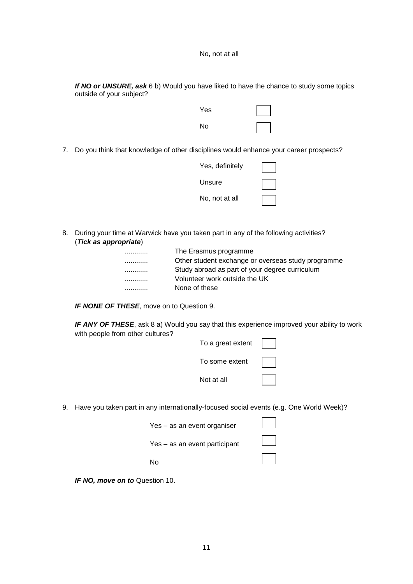*If NO or UNSURE, ask* 6 b) Would you have liked to have the chance to study some topics outside of your subject?



7. Do you think that knowledge of other disciplines would enhance your career prospects?

| Yes, definitely |  |
|-----------------|--|
| Unsure          |  |
| No, not at all  |  |

8. During your time at Warwick have you taken part in any of the following activities? (*Tick as appropriate*)

|   | The Erasmus programme                              |
|---|----------------------------------------------------|
|   | Other student exchange or overseas study programme |
|   | Study abroad as part of your degree curriculum     |
| . | Volunteer work outside the UK                      |
|   | None of these                                      |
|   |                                                    |

*IF NONE OF THESE*, move on to Question 9.

**IF ANY OF THESE**, ask 8 a) Would you say that this experience improved your ability to work with people from other cultures?

| To a great extent |  |
|-------------------|--|
| To some extent    |  |
| Not at all        |  |

9. Have you taken part in any internationally-focused social events (e.g. One World Week)?

| Yes - as an event organiser   |  |
|-------------------------------|--|
| Yes – as an event participant |  |
| N٥                            |  |

*IF NO, move on to* Question 10.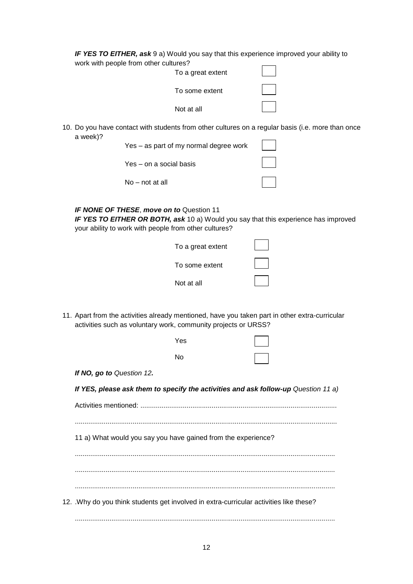*IF YES TO EITHER, ask* 9 a) Would you say that this experience improved your ability to work with people from other cultures?

| . <del>.</del><br>To a great extent |  |
|-------------------------------------|--|
| To some extent                      |  |
| Not at all                          |  |

10. Do you have contact with students from other cultures on a regular basis (i.e. more than once a week)?  $\overline{a}$  $\overline{\phantom{0}}$ 

| Yes – as part of my normal degree work |  |
|----------------------------------------|--|
| Yes – on a social basis                |  |
| No – not at all                        |  |

## *IF NONE OF THESE*, *move on to* Question 11

*IF YES TO EITHER OR BOTH, ask* 10 a) Would you say that this experience has improved your ability to work with people from other cultures?

| To a great extent |  |
|-------------------|--|
| To some extent    |  |
| Not at all        |  |

11. Apart from the activities already mentioned, have you taken part in other extra-curricular activities such as voluntary work, community projects or URSS?

|                                                                                       | Yes       |  |
|---------------------------------------------------------------------------------------|-----------|--|
|                                                                                       | <b>No</b> |  |
| If NO, go to Question 12.                                                             |           |  |
| If YES, please ask them to specify the activities and ask follow-up Question 11 a)    |           |  |
|                                                                                       |           |  |
|                                                                                       |           |  |
| 11 a) What would you say you have gained from the experience?                         |           |  |
|                                                                                       |           |  |
|                                                                                       |           |  |
|                                                                                       |           |  |
| 12. Why do you think students get involved in extra-curricular activities like these? |           |  |
|                                                                                       |           |  |
|                                                                                       |           |  |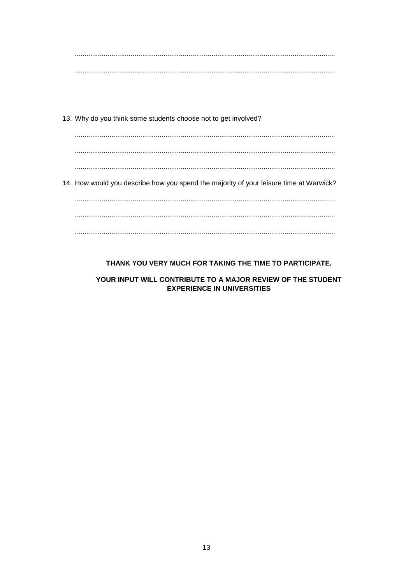13. Why do you think some students choose not to get involved?

14. How would you describe how you spend the majority of your leisure time at Warwick? 

## THANK YOU VERY MUCH FOR TAKING THE TIME TO PARTICIPATE.

## YOUR INPUT WILL CONTRIBUTE TO A MAJOR REVIEW OF THE STUDENT **EXPERIENCE IN UNIVERSITIES**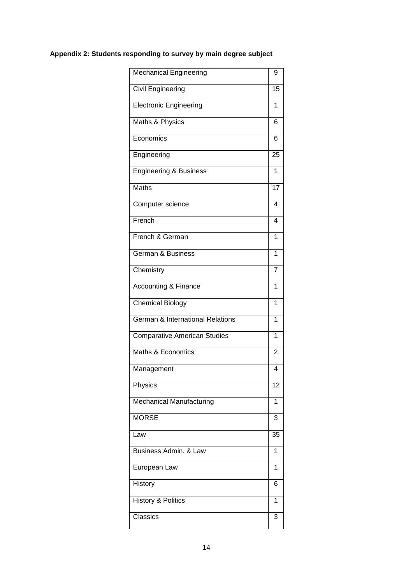## **Appendix 2: Students responding to survey by main degree subject**

| <b>Mechanical Engineering</b>       | 9              |
|-------------------------------------|----------------|
| <b>Civil Engineering</b>            | 15             |
| <b>Electronic Engineering</b>       | 1              |
| Maths & Physics                     | 6              |
| Economics                           | 6              |
| Engineering                         | 25             |
| <b>Engineering &amp; Business</b>   | 1              |
| <b>Maths</b>                        | 17             |
| Computer science                    | 4              |
| French                              | 4              |
| French & German                     | 1              |
| <b>German &amp; Business</b>        | 1              |
| Chemistry                           | 7              |
| <b>Accounting &amp; Finance</b>     | 1              |
| Chemical Biology                    | 1              |
| German & International Relations    | 1              |
| <b>Comparative American Studies</b> | 1              |
| Maths & Economics                   | $\overline{2}$ |
| Management                          | 4              |
| Physics                             | 12             |
| Mechanical Manufacturing            | 1              |
| <b>MORSE</b>                        | 3              |
| Law                                 | 35             |
| Business Admin. & Law               | 1              |
| European Law                        | 1              |
| History                             | 6              |
| <b>History &amp; Politics</b>       | 1              |
| Classics                            | 3              |